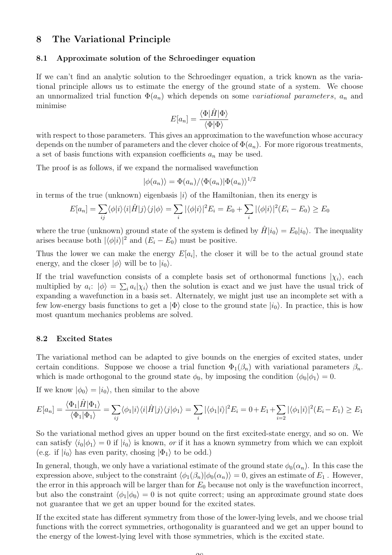# 8 The Variational Principle

#### 8.1 Approximate solution of the Schroedinger equation

If we can't find an analytic solution to the Schroedinger equation, a trick known as the variational principle allows us to estimate the energy of the ground state of a system. We choose an unnormalized trial function  $\Phi(a_n)$  which depends on some variational parameters,  $a_n$  and minimise

$$
E[a_n] = \frac{\langle \Phi | \hat{H} | \Phi \rangle}{\langle \Phi | \Phi \rangle}
$$

with respect to those parameters. This gives an approximation to the wavefunction whose accuracy depends on the number of parameters and the clever choice of  $\Phi(a_n)$ . For more rigorous treatments, a set of basis functions with expansion coefficients  $a_n$  may be used.

The proof is as follows, if we expand the normalised wavefunction

$$
|\phi(a_n)\rangle = \Phi(a_n)/\langle \Phi(a_n)|\Phi(a_n)\rangle^{1/2}
$$

in terms of the true (unknown) eigenbasis  $|i\rangle$  of the Hamiltonian, then its energy is

$$
E[a_n] = \sum_{ij} \langle \phi | i \rangle \langle i | \hat{H} | j \rangle \langle j | \phi \rangle = \sum_{i} |\langle \phi | i \rangle|^2 E_i = E_0 + \sum_{i} |\langle \phi | i \rangle|^2 (E_i - E_0) \ge E_0
$$

where the true (unknown) ground state of the system is defined by  $\hat{H}|i_0\rangle = E_0|i_0\rangle$ . The inequality arises because both  $|\langle \phi | i \rangle|^2$  and  $(E_i - E_0)$  must be positive.

Thus the lower we can make the energy  $E[a_i]$ , the closer it will be to the actual ground state energy, and the closer  $|\phi\rangle$  will be to  $|i_0\rangle$ .

If the trial wavefunction consists of a complete basis set of orthonormal functions  $|\chi_i\rangle$ , each multiplied by  $a_i: |\phi\rangle = \sum_i a_i |\chi_i\rangle$  then the solution is exact and we just have the usual trick of expanding a wavefunction in a basis set. Alternately, we might just use an incomplete set with a few low-energy basis functions to get a  $|\Phi\rangle$  close to the ground state  $|i_0\rangle$ . In practice, this is how most quantum mechanics problems are solved.

## 8.2 Excited States

The variational method can be adapted to give bounds on the energies of excited states, under certain conditions. Suppose we choose a trial function  $\Phi_1(\beta_n)$  with variational parameters  $\beta_n$ . which is made orthogonal to the ground state  $\phi_0$ , by imposing the condition  $\langle \phi_0 | \phi_1 \rangle = 0$ .

If we know  $|\phi_0\rangle = |i_0\rangle$ , then similar to the above

$$
E[a_n] = \frac{\langle \Phi_1 | \hat{H} | \Phi_1 \rangle}{\langle \Phi_1 | \Phi_1 \rangle} = \sum_{ij} \langle \phi_1 | i \rangle \langle i | \hat{H} | j \rangle \langle j | \phi_1 \rangle = \sum_i |\langle \phi_1 | i \rangle|^2 E_i = 0 + E_1 + \sum_{i=2} |\langle \phi_1 | i \rangle|^2 (E_i - E_1) \ge E_1
$$

So the variational method gives an upper bound on the first excited-state energy, and so on. We can satisfy  $\langle i_0|\phi_1\rangle = 0$  if  $|i_0\rangle$  is known, *or* if it has a known symmetry from which we can exploit (e.g. if  $|i_0\rangle$  has even parity, chosing  $|\Phi_1\rangle$  to be odd.)

In general, though, we only have a variational estimate of the ground state  $\phi_0(\alpha_n)$ . In this case the expression above, subject to the constraint  $\langle \phi_1(\beta_n)|\phi_0(\alpha_n)\rangle = 0$ , gives an estimate of  $E_1$ . However, the error in this approach will be larger than for  $E_0$  because not only is the wavefunction incorrect, but also the constraint  $\langle \phi_1 | \phi_0 \rangle = 0$  is not quite correct; using an approximate ground state does not guarantee that we get an upper bound for the excited states.

If the excited state has different symmetry from those of the lower-lying levels, and we choose trial functions with the correct symmetries, orthogonality is guaranteed and we get an upper bound to the energy of the lowest-lying level with those symmetries, which is the excited state.

 $\Omega$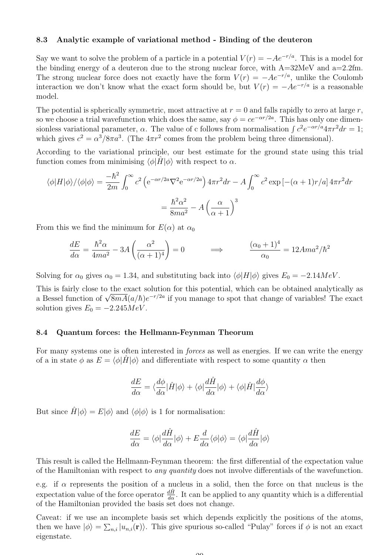## 8.3 Analytic example of variational method - Binding of the deuteron

Say we want to solve the problem of a particle in a potential  $V(r) = -Ae^{-r/a}$ . This is a model for the binding energy of a deuteron due to the strong nuclear force, with  $A=32MeV$  and  $a=2.2fm$ . The strong nuclear force does not exactly have the form  $V(r) = -Ae^{-r/a}$ , unlike the Coulomb interaction we don't know what the exact form should be, but  $V(r) = -Ae^{-r/a}$  is a reasonable model.

The potential is spherically symmetric, most attractive at  $r = 0$  and falls rapidly to zero at large r, so we choose a trial wavefunction which does the same, say  $\phi = ce^{-\alpha r/2a}$ . This has only one dimensionless variational parameter,  $\alpha$ . The value of c follows from normalisation  $\int c^2 e^{-\alpha r/a} 4\pi r^2 dr = 1$ ; which gives  $c^2 = \alpha^3/8\pi a^3$ . (The  $4\pi r^2$  comes from the problem being three dimensional).

According to the variational principle, our best estimate for the ground state using this trial function comes from minimising  $\langle \phi | \hat{H} | \phi \rangle$  with respect to  $\alpha$ .

$$
\langle \phi | H | \phi \rangle / \langle \phi | \phi \rangle = \frac{-\hbar^2}{2m} \int_0^\infty c^2 \left( e^{-\alpha r/2a} \nabla^2 e^{-\alpha r/2a} \right) 4\pi r^2 dr - A \int_0^\infty c^2 \exp\left[ -(\alpha + 1)r/a \right] 4\pi r^2 dr
$$

$$
= \frac{\hbar^2 \alpha^2}{8ma^2} - A \left( \frac{\alpha}{\alpha + 1} \right)^3
$$

From this we find the minimum for  $E(\alpha)$  at  $\alpha_0$ 

$$
\frac{dE}{d\alpha} = \frac{\hbar^2 \alpha}{4ma^2} - 3A\left(\frac{\alpha^2}{(\alpha+1)^4}\right) = 0 \qquad \Longrightarrow \qquad \frac{(\alpha_0+1)^4}{\alpha_0} = 12Ama^2/\hbar^2
$$

Solving for  $\alpha_0$  gives  $\alpha_0 = 1.34$ , and substituting back into  $\langle \phi | H | \phi \rangle$  gives  $E_0 = -2.14 MeV$ .

This is fairly close to the exact solution for this potential, which can be obtained analytically as This is fairly close to the exact solution for this potential, which can be obtained analytically as<br>a Bessel function of  $\sqrt{8mA}(a/\hbar)e^{-r/2a}$  if you manage to spot that change of variables! The exact solution gives  $E_0 = -2.245 MeV$ .

#### 8.4 Quantum forces: the Hellmann-Feynman Theorum

For many systems one is often interested in *forces* as well as energies. If we can write the energy of a in state  $\phi$  as  $E = \langle \phi | \hat{H} | \phi \rangle$  and differentiate with respect to some quantity  $\alpha$  then

$$
\frac{dE}{d\alpha}=\langle\frac{d\phi}{d\alpha}|\hat{H}|\phi\rangle+\langle\phi|\frac{d\hat{H}}{d\alpha}|\phi\rangle+\langle\phi|\hat{H}|\frac{d\phi}{d\alpha}\rangle
$$

But since  $\hat{H}|\phi\rangle = E|\phi\rangle$  and  $\langle \phi|\phi\rangle$  is 1 for normalisation:

$$
\frac{dE}{d\alpha}=\langle\phi|\frac{d\hat{H}}{d\alpha}|\phi\rangle+E\frac{d}{d\alpha}\langle\phi|\phi\rangle=\langle\phi|\frac{d\hat{H}}{d\alpha}|\phi\rangle
$$

This result is called the Hellmann-Feynman theorem: the first differential of the expectation value of the Hamiltonian with respect to *any quantity* does not involve differentials of the wavefunction.

e.g. if  $\alpha$  represents the position of a nucleus in a solid, then the force on that nucleus is the expectation value of the force operator  $\frac{d\hat{H}}{d\alpha}$ . It can be applied to any quantity which is a differential of the Hamiltonian provided the basis set does not change.

Caveat: if we use an incomplete basis set which depends explicitly the positions of the atoms, then we have  $|\phi\rangle = \sum_{n,i} |u_{n,i}(\mathbf{r})\rangle$ . This give spurious so-called "Pulay" forces if  $\phi$  is not an exact eigenstate.

 $\Omega$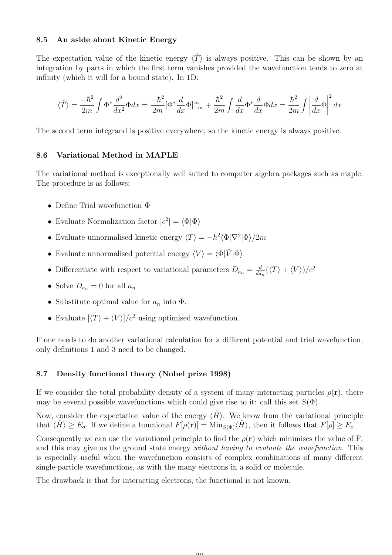## 8.5 An aside about Kinetic Energy

The expectation value of the kinetic energy  $\langle \hat{T} \rangle$  is always positive. This can be shown by an integration by parts in which the first term vanishes provided the wavefunction tends to zero at infinity (which it will for a bound state). In 1D:

$$
\langle \hat{T} \rangle = \frac{-\hbar^2}{2m} \int \Phi^* \frac{d^2}{dx^2} \Phi dx = \frac{-\hbar^2}{2m} [\Phi^* \frac{d}{dx} \Phi]_{-\infty}^{\infty} + \frac{\hbar^2}{2m} \int \frac{d}{dx} \Phi^* \frac{d}{dx} \Phi dx = \frac{\hbar^2}{2m} \int \left| \frac{d}{dx} \Phi \right|^2 dx
$$

The second term integrand is positive everywhere, so the kinetic energy is always positive.

## 8.6 Variational Method in MAPLE

The variational method is exceptionally well suited to computer algebra packages such as maple. The procedure is as follows:

- Define Trial wavefunction Φ
- Evaluate Normalization factor  $|c^2| = \langle \Phi | \Phi \rangle$
- Evaluate unnormalised kinetic energy  $\langle T \rangle = -\hbar^2 \langle \Phi | \nabla^2 | \Phi \rangle / 2m$
- Evaluate unnormalised potential energy  $\langle V \rangle = \langle \Phi | \hat{V} | \Phi \rangle$
- Differentiate with respect to variational parameters  $D_{a_n} = \frac{d}{da}$  $\frac{d}{da_n}(\langle T\rangle + \langle V\rangle)/c^2$
- Solve  $D_{a_n} = 0$  for all  $a_n$
- Substitute optimal value for  $a_n$  into  $\Phi$ .
- Evaluate  $|\langle T \rangle + \langle V \rangle|/c^2$  using optimised wavefunction.

If one needs to do another variational calculation for a different potential and trial wavefunction, only definitions 1 and 3 need to be changed.

## 8.7 Density functional theory (Nobel prize 1998)

If we consider the total probability density of a system of many interacting particles  $\rho(\mathbf{r})$ , there may be several possible wavefunctions which could give rise to it: call this set  $S(\Phi)$ .

Now, consider the expectation value of the energy  $\langle \hat{H} \rangle$ . We know from the variational principle that  $\langle \hat{H} \rangle \ge E_o$ . If we define a functional  $F[\rho(\mathbf{r})] = \text{Min}_{S(\Phi)} \langle \hat{H} \rangle$ , then it follows that  $F[\rho] \ge E_o$ .

Consequently we can use the variational principle to find the  $\rho(\mathbf{r})$  which minimises the value of F, and this may give us the ground state energy *without having to evaluate the wavefunction*. This is especially useful when the wavefunction consists of complex combinations of many different single-particle wavefunctions, as with the many electrons in a solid or molecule.

The drawback is that for interacting electrons, the functional is not known.